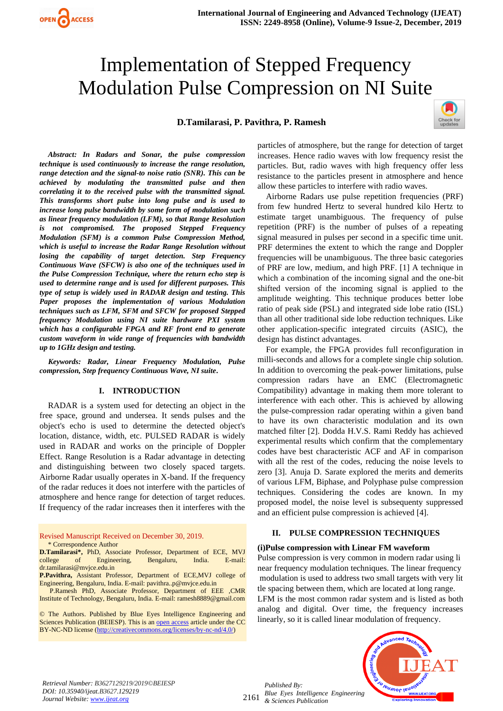# Implementation of Stepped Frequency Modulation Pulse Compression on NI Suite

## **D.Tamilarasi, P. Pavithra, P. Ramesh**



*Abstract: In Radars and Sonar, the pulse compression technique is used continuously to increase the range resolution, range detection and the signal-to noise ratio (SNR). This can be achieved by modulating the transmitted pulse and then correlating it to the received pulse with the transmitted signal. This transforms short pulse into long pulse and is used to increase long pulse bandwidth by some form of modulation such as linear frequency modulation (LFM), so that Range Resolution is not compromised. The proposed Stepped Frequency Modulation (SFM) is a common Pulse Compression Method, which is useful to increase the Radar Range Resolution without losing the capability of target detection. Step Frequency Continuous Wave (SFCW) is also one of the techniques used in the Pulse Compression Technique, where the return echo step is used to determine range and is used for different purposes. This type of setup is widely used in RADAR design and testing. This Paper proposes the implementation of various Modulation techniques such as LFM, SFM and SFCW for proposed Stepped frequency Modulation using NI suite hardware PXI system which has a configurable FPGA and RF front end to generate custom waveform in wide range of frequencies with bandwidth up to 1GHz design and testing.*

*Keywords: Radar, Linear Frequency Modulation, Pulse compression, Step frequency Continuous Wave, NI suite***.**

#### **I. INTRODUCTION**

RADAR is a system used for detecting an object in the free space, ground and undersea. It sends pulses and the object's echo is used to determine the detected object's location, distance, width, etc. PULSED RADAR is widely used in RADAR and works on the principle of Doppler Effect. Range Resolution is a Radar advantage in detecting and distinguishing between two closely spaced targets. Airborne Radar usually operates in X-band. If the frequency of the radar reduces it does not interfere with the particles of atmosphere and hence range for detection of target reduces. If frequency of the radar increases then it interferes with the

Revised Manuscript Received on December 30, 2019. \* Correspondence Author

- **D.Tamilarasi\*,** PhD, Associate Professor, Department of ECE, MVJ college of Engineering, Bengaluru, India. E-mail: dr.tamilarasi@mvjce.edu.in
- **P.Pavithra,** Assistant Professor, Department of ECE,MVJ college of Engineering, Bengaluru, India. E-mail: pavithra..p@mvjce.edu.in

 P.Ramesh PhD, Associate Professor, Department of EEE ,CMR Institute of Technology, Bengaluru, India. E-mail[: ramesh8889@gmail.com](mailto:s.koteeswaran@gmail.com)

© The Authors. Published by Blue Eyes Intelligence Engineering and Sciences Publication (BEIESP). This is a[n open access](https://www.openaccess.nl/en/open-publications) article under the CC BY-NC-ND license [\(http://creativecommons.org/licenses/by-nc-nd/4.0/\)](http://creativecommons.org/licenses/by-nc-nd/4.0/)

particles of atmosphere, but the range for detection of target increases. Hence radio waves with low frequency resist the particles. But, radio waves with high frequency offer less resistance to the particles present in atmosphere and hence allow these particles to interfere with radio waves.

Airborne Radars use pulse repetition frequencies (PRF) from few hundred Hertz to several hundred kilo Hertz to estimate target unambiguous. The frequency of pulse repetition (PRF) is the number of pulses of a repeating signal measured in pulses per second in a specific time unit. PRF determines the extent to which the range and Doppler frequencies will be unambiguous. The three basic categories of PRF are low, medium, and high PRF. [1] A technique in which a combination of the incoming signal and the one-bit shifted version of the incoming signal is applied to the amplitude weighting. This technique produces better lobe ratio of peak side (PSL) and integrated side lobe ratio (ISL) than all other traditional side lobe reduction techniques. Like other application-specific integrated circuits (ASIC), the design has distinct advantages.

For example, the FPGA provides full reconfiguration in milli-seconds and allows for a complete single chip solution. In addition to overcoming the peak-power limitations, pulse compression radars have an EMC (Electromagnetic Compatibility) advantage in making them more tolerant to interference with each other. This is achieved by allowing the pulse-compression radar operating within a given band to have its own characteristic modulation and its own matched filter [2]. Dodda H.V.S. Rami Reddy has achieved experimental results which confirm that the complementary codes have best characteristic ACF and AF in comparison with all the rest of the codes, reducing the noise levels to zero [3]. Anuja D. Sarate explored the merits and demerits of various LFM, Biphase, and Polyphase pulse compression techniques. Considering the codes are known. In my proposed model, the noise level is subsequenty suppressed and an efficient pulse compression is achieved [4].

## **II. PULSE COMPRESSION TECHNIQUES**

## **(i)Pulse compression with Linear FM waveform**

Pulse compression is very common in modern radar using li near frequency modulation techniques. The linear frequency modulation is used to address two small targets with very lit tle spacing between them, which are located at long range. LFM is the most common radar system and is listed as both analog and digital. Over time, the frequency increases linearly, so it is called linear modulation of frequency.



2161 *Published By: Blue Eyes Intelligence Engineering & Sciences Publication* 

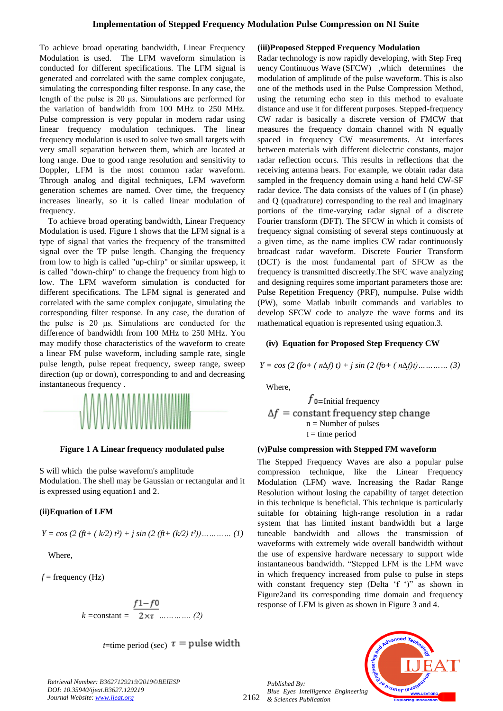To achieve broad operating bandwidth, Linear Frequency Modulation is used. The LFM waveform simulation is conducted for different specifications. The LFM signal is generated and correlated with the same complex conjugate, simulating the corresponding filter response. In any case, the length of the pulse is 20 μs. Simulations are performed for the variation of bandwidth from 100 MHz to 250 MHz. Pulse compression is very popular in modern radar using linear frequency modulation techniques. The linear frequency modulation is used to solve two small targets with very small separation between them, which are located at long range. Due to good range resolution and sensitivity to Doppler, LFM is the most common radar waveform. Through analog and digital techniques, LFM waveform generation schemes are named. Over time, the frequency increases linearly, so it is called linear modulation of frequency.

To achieve broad operating bandwidth, Linear Frequency Modulation is used. Figure 1 shows that the LFM signal is a type of signal that varies the frequency of the transmitted signal over the TP pulse length. Changing the frequency from low to high is called "up-chirp" or similar upsweep, it is called "down-chirp" to change the frequency from high to low. The LFM waveform simulation is conducted for different specifications. The LFM signal is generated and correlated with the same complex conjugate, simulating the corresponding filter response. In any case, the duration of the pulse is 20 μs. Simulations are conducted for the difference of bandwidth from 100 MHz to 250 MHz. You may modify those characteristics of the waveform to create a linear FM pulse waveform, including sample rate, single pulse length, pulse repeat frequency, sweep range, sweep direction (up or down), corresponding to and and decreasing instantaneous frequency .



**Figure 1 A Linear frequency modulated pulse**

S will which the pulse waveform's amplitude Modulation. The shell may be Gaussian or rectangular and it is expressed using equation1 and 2.

## **(ii)Equation of LFM**

$$
Y = \cos (2 (ft + (k/2) t^2) + j \sin (2 (ft + (k/2) t^2)) \dots \dots \dots \dots (1)
$$

Where,

 $f$  = frequency (Hz)

$$
k = \text{constant} = \frac{f1 - f0}{2 \times \tau} \dots \dots \dots \dots (2)
$$

*t*=time period (sec)  $\tau$  = pulse width

## **(iii)Proposed Stepped Frequency Modulation**

Radar technology is now rapidly developing, with Step Freq uency Continuous Wave (SFCW) ,which determines the modulation of amplitude of the pulse waveform. This is also one of the methods used in the Pulse Compression Method, using the returning echo step in this method to evaluate distance and use it for different purposes. Stepped-frequency CW radar is basically a discrete version of FMCW that measures the frequency domain channel with N equally spaced in frequency CW measurements. At interfaces between materials with different dielectric constants, major radar reflection occurs. This results in reflections that the receiving antenna hears. For example, we obtain radar data sampled in the frequency domain using a hand held CW-SF radar device. The data consists of the values of I (in phase) and Q (quadrature) corresponding to the real and imaginary portions of the time-varying radar signal of a discrete Fourier transform (DFT). The SFCW in which it consists of frequency signal consisting of several steps continuously at a given time, as the name implies CW radar continuously broadcast radar waveform. Discrete Fourier Transform (DCT) is the most fundamental part of SFCW as the frequency is transmitted discreetly.The SFC wave analyzing and designing requires some important parameters those are: Pulse Repetition Frequency (PRF), numpulse. Pulse width (PW), some Matlab inbuilt commands and variables to develop SFCW code to analyze the wave forms and its mathematical equation is represented using equation.3.

## **(iv) Equation for Proposed Step Frequency CW**

*Y = cos (2 (fo+ ( n∆f) t) + j sin (2 (fo+ ( n∆f)t)………… (3)*

Where,

 $f_{\text{0}=\text{Initial frequency}}$  $\Delta f$  = constant frequency step change  $n =$  Number of pulses  $t =$  time period

## **(v)Pulse compression with Stepped FM waveform**

The Stepped Frequency Waves are also a popular pulse compression technique, like the Linear Frequency Modulation (LFM) wave. Increasing the Radar Range Resolution without losing the capability of target detection in this technique is beneficial. This technique is particularly suitable for obtaining high-range resolution in a radar system that has limited instant bandwidth but a large tuneable bandwidth and allows the transmission of waveforms with extremely wide overall bandwidth without the use of expensive hardware necessary to support wide instantaneous bandwidth. "Stepped LFM is the LFM wave in which frequency increased from pulse to pulse in steps with constant frequency step (Delta 'f ')" as shown in Figure2and its corresponding time domain and frequency response of LFM is given as shown in Figure 3 and 4.

2162 *Published By: Blue Eyes Intelligence Engineering & Sciences Publication* 



*Retrieval Number: B3627129219/2019©BEIESP DOI: 10.35940/ijeat.B3627.129219 Journal Website[: www.ijeat.org](http://www.ijeat.org/)*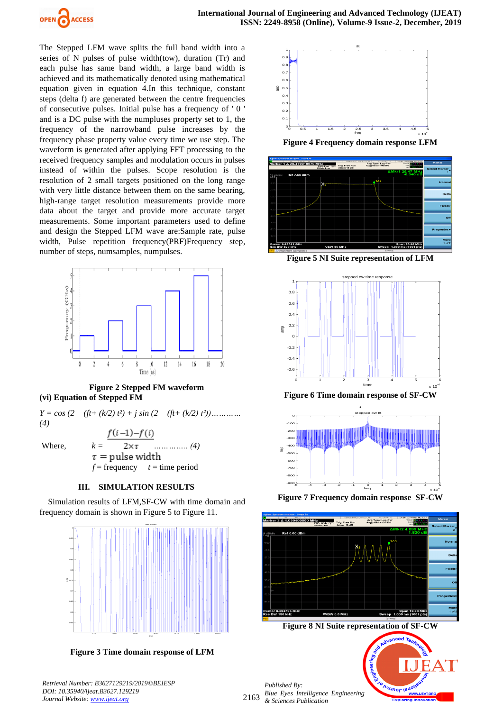

The Stepped LFM wave splits the full band width into a series of N pulses of pulse width(tow), duration (Tr) and each pulse has same band width, a large band width is achieved and its mathematically denoted using mathematical equation given in equation 4.In this technique, constant steps (delta f) are generated between the centre frequencies of consecutive pulses. Initial pulse has a frequency of ' 0 ' and is a DC pulse with the numpluses property set to 1, the frequency of the narrowband pulse increases by the frequency phase property value every time we use step. The waveform is generated after applying FFT processing to the received frequency samples and modulation occurs in pulses instead of within the pulses. Scope resolution is the resolution of 2 small targets positioned on the long range with very little distance between them on the same bearing, high-range target resolution measurements provide more data about the target and provide more accurate target measurements. Some important parameters used to define and design the Stepped LFM wave are:Sample rate, pulse width, Pulse repetition frequency(PRF)Frequency step, number of steps, numsamples, numpulses.



**Figure 2 Stepped FM waveform (vi) Equation of Stepped FM** 

 $Y = cos(2 \quad (ft+(k/2) t^2) + j sin(2 \quad (ft+(k/2) t^2)) \dots$ *(4)*  $f(i-1)-f(i)$ Where, *k = ………….. (4)*

 $\tau$  = pulse width  $f = \text{frequency}$  *t* = time period

## **III. SIMULATION RESULTS**

Simulation results of LFM,SF-CW with time domain and frequency domain is shown in Figure 5 to Figure 11.



**Figure 3 Time domain response of LFM**



**Figure 4 Frequency domain response LFM**



**Figure 5 NI Suite representation of LFM**







**Figure 7 Frequency domain response SF-CW**



**Figure 8 NI Suite representation of SF-CW**

2163 *Published By: Blue Eyes Intelligence Engineering & Sciences Publication* 



*Retrieval Number: B3627129219/2019©BEIESP DOI: 10.35940/ijeat.B3627.129219 Journal Website[: www.ijeat.org](http://www.ijeat.org/)*